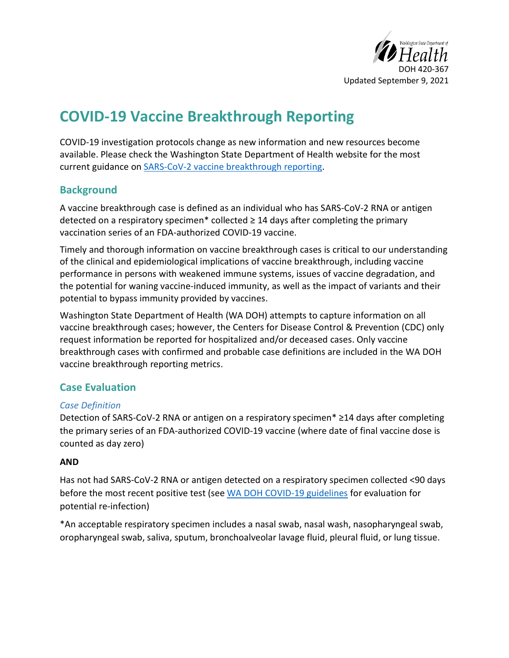

# **COVID-19 Vaccine Breakthrough Reporting**

COVID-19 investigation protocols change as new information and new resources become available. Please check the Washington State Department of Health website for the most current guidance on [SARS-CoV-2 vaccine breakthrough reporting.](https://www.doh.wa.gov/Portals/1/Documents/5100/420-367-Guideline-COVID19-VaccineBreakthrough.pdf)

## **Background**

A vaccine breakthrough case is defined as an individual who has SARS-CoV-2 RNA or antigen detected on a respiratory specimen\* collected  $\geq$  14 days after completing the primary vaccination series of an FDA-authorized COVID-19 vaccine.

Timely and thorough information on vaccine breakthrough cases is critical to our understanding of the clinical and epidemiological implications of vaccine breakthrough, including vaccine performance in persons with weakened immune systems, issues of vaccine degradation, and the potential for waning vaccine-induced immunity, as well as the impact of variants and their potential to bypass immunity provided by vaccines.

Washington State Department of Health (WA DOH) attempts to capture information on all vaccine breakthrough cases; however, the Centers for Disease Control & Prevention (CDC) only request information be reported for hospitalized and/or deceased cases. Only vaccine breakthrough cases with confirmed and probable case definitions are included in the WA DOH vaccine breakthrough reporting metrics.

## **Case Evaluation**

#### *Case Definition*

Detection of SARS-CoV-2 RNA or antigen on a respiratory specimen\* ≥14 days after completing the primary series of an FDA-authorized COVID-19 vaccine (where date of final vaccine dose is counted as day zero)

#### **AND**

Has not had SARS-CoV-2 RNA or antigen detected on a respiratory specimen collected <90 days before the most recent positive test (see [WA DOH COVID-19 guidelines](https://www.doh.wa.gov/Portals/1/Documents/5100/420-107-Guideline-COVID-19.pdf) for evaluation for potential re-infection)

\*An acceptable respiratory specimen includes a nasal swab, nasal wash, nasopharyngeal swab, oropharyngeal swab, saliva, sputum, bronchoalveolar lavage fluid, pleural fluid, or lung tissue.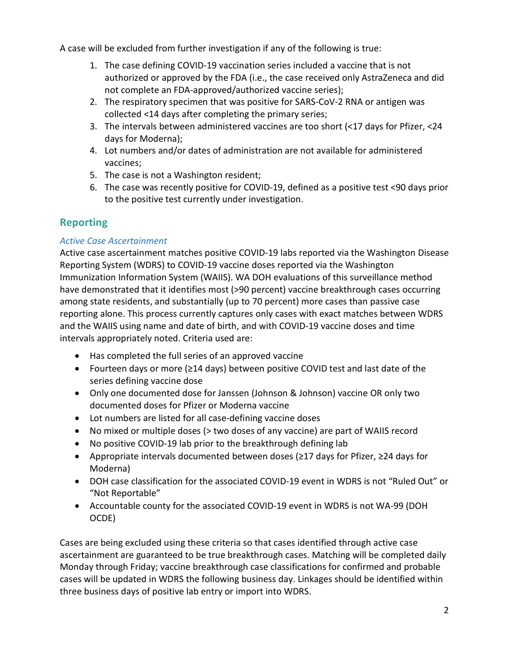A case will be excluded from further investigation if any of the following is true:

- 1. The case defining COVID-19 vaccination series included a vaccine that is not authorized or approved by the FDA (i.e., the case received only AstraZeneca and did not complete an FDA-approved/authorized vaccine series);
- 2. The respiratory specimen that was positive for SARS-CoV-2 RNA or antigen was collected <14 days after completing the primary series;
- 3. The intervals between administered vaccines are too short (<17 days for Pfizer, <24 days for Moderna);
- 4. Lot numbers and/or dates of administration are not available for administered vaccines;
- 5. The case is not a Washington resident;
- 6. The case was recently positive for COVID-19, defined as a positive test <90 days prior to the positive test currently under investigation.

## **Reporting**

#### *Active Case Ascertainment*

Active case ascertainment matches positive COVID-19 labs reported via the Washington Disease Reporting System (WDRS) to COVID-19 vaccine doses reported via the Washington Immunization Information System (WAIIS). WA DOH evaluations of this surveillance method have demonstrated that it identifies most (>90 percent) vaccine breakthrough cases occurring among state residents, and substantially (up to 70 percent) more cases than passive case reporting alone. This process currently captures only cases with exact matches between WDRS and the WAIIS using name and date of birth, and with COVID-19 vaccine doses and time intervals appropriately noted. Criteria used are:

- Has completed the full series of an approved vaccine
- Fourteen days or more (≥14 days) between positive COVID test and last date of the series defining vaccine dose
- Only one documented dose for Janssen (Johnson & Johnson) vaccine OR only two documented doses for Pfizer or Moderna vaccine
- Lot numbers are listed for all case-defining vaccine doses
- No mixed or multiple doses (> two doses of any vaccine) are part of WAIIS record
- No positive COVID-19 lab prior to the breakthrough defining lab
- Appropriate intervals documented between doses (≥17 days for Pfizer, ≥24 days for Moderna)
- DOH case classification for the associated COVID-19 event in WDRS is not "Ruled Out" or "Not Reportable"
- Accountable county for the associated COVID-19 event in WDRS is not WA-99 (DOH OCDE)

Cases are being excluded using these criteria so that cases identified through active case ascertainment are guaranteed to be true breakthrough cases. Matching will be completed daily Monday through Friday; vaccine breakthrough case classifications for confirmed and probable cases will be updated in WDRS the following business day. Linkages should be identified within three business days of positive lab entry or import into WDRS.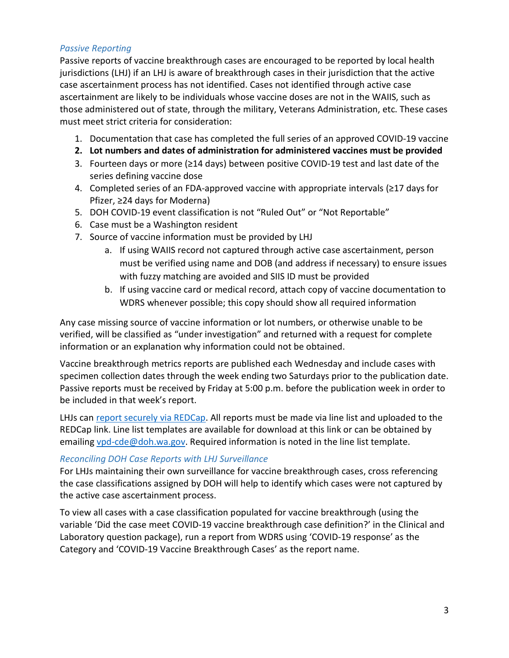#### *Passive Reporting*

Passive reports of vaccine breakthrough cases are encouraged to be reported by local health jurisdictions (LHJ) if an LHJ is aware of breakthrough cases in their jurisdiction that the active case ascertainment process has not identified. Cases not identified through active case ascertainment are likely to be individuals whose vaccine doses are not in the WAIIS, such as those administered out of state, through the military, Veterans Administration, etc. These cases must meet strict criteria for consideration:

- 1. Documentation that case has completed the full series of an approved COVID-19 vaccine
- **2. Lot numbers and dates of administration for administered vaccines must be provided**
- 3. Fourteen days or more (≥14 days) between positive COVID-19 test and last date of the series defining vaccine dose
- 4. Completed series of an FDA-approved vaccine with appropriate intervals (≥17 days for Pfizer, ≥24 days for Moderna)
- 5. DOH COVID-19 event classification is not "Ruled Out" or "Not Reportable"
- 6. Case must be a Washington resident
- 7. Source of vaccine information must be provided by LHJ
	- a. If using WAIIS record not captured through active case ascertainment, person must be verified using name and DOB (and address if necessary) to ensure issues with fuzzy matching are avoided and SIIS ID must be provided
	- b. If using vaccine card or medical record, attach copy of vaccine documentation to WDRS whenever possible; this copy should show all required information

Any case missing source of vaccine information or lot numbers, or otherwise unable to be verified, will be classified as "under investigation" and returned with a request for complete information or an explanation why information could not be obtained.

Vaccine breakthrough metrics reports are published each Wednesday and include cases with specimen collection dates through the week ending two Saturdays prior to the publication date. Passive reports must be received by Friday at 5:00 p.m. before the publication week in order to be included in that week's report.

LHJs can [report securely via REDCap.](https://redcap.doh.wa.gov/surveys/?s=J4WAFRPMNE) All reports must be made via line list and uploaded to the REDCap link. Line list templates are available for download at this link or can be obtained by emailing [vpd-cde@doh.wa.gov.](mailto:vpd-cde@doh.wa.gov) Required information is noted in the line list template.

#### *Reconciling DOH Case Reports with LHJ Surveillance*

For LHJs maintaining their own surveillance for vaccine breakthrough cases, cross referencing the case classifications assigned by DOH will help to identify which cases were not captured by the active case ascertainment process.

To view all cases with a case classification populated for vaccine breakthrough (using the variable 'Did the case meet COVID-19 vaccine breakthrough case definition?' in the Clinical and Laboratory question package), run a report from WDRS using 'COVID-19 response' as the Category and 'COVID-19 Vaccine Breakthrough Cases' as the report name.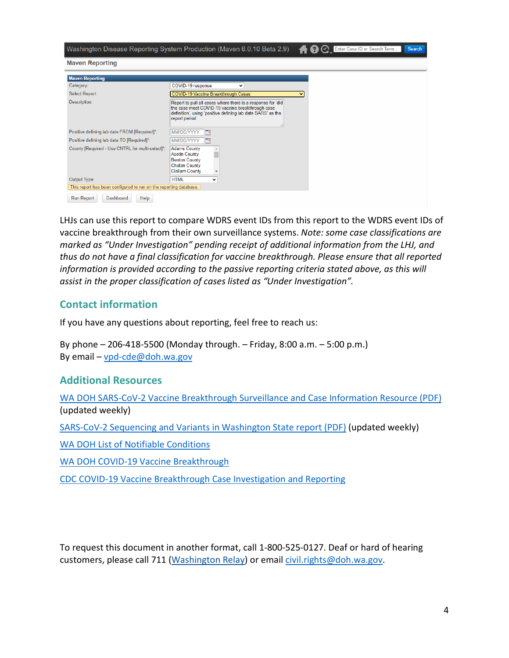| <b>Maven Reporting</b><br><b>Maven Reporting</b>                  |                                                                                                                                                                                                 |  |
|-------------------------------------------------------------------|-------------------------------------------------------------------------------------------------------------------------------------------------------------------------------------------------|--|
|                                                                   |                                                                                                                                                                                                 |  |
| Select Report:                                                    | COVID-19 Vaccine Breakthrough Cases<br>$\checkmark$                                                                                                                                             |  |
| Description:                                                      | Report to pull all cases where there is a response for 'did<br>the case meet COVID-19 vaccine breakthrough case<br>definition', using 'positive defining lab date SARS' as the<br>report period |  |
| Positive defining lab date FROM [Required]*:                      | MM/DD/YYYY<br>Гm                                                                                                                                                                                |  |
| Positive defining lab date TO [Required]*:                        | MM/DD/YYYY<br>Пe                                                                                                                                                                                |  |
| County [Required - Use CNTRL for multi-select]*:                  | <b>Adams County</b><br><b>Asotin County</b><br><b>Benton County</b><br><b>Chelan County</b><br><b>Clallam County</b>                                                                            |  |
| Output Type:                                                      | <b>HTML</b><br>$\check{ }$                                                                                                                                                                      |  |
| This report has been configured to run on the reporting database. |                                                                                                                                                                                                 |  |

LHJs can use this report to compare WDRS event IDs from this report to the WDRS event IDs of vaccine breakthrough from their own surveillance systems. *Note: some case classifications are marked as "Under Investigation" pending receipt of additional information from the LHJ, and thus do not have a final classification for vaccine breakthrough. Please ensure that all reported information is provided according to the passive reporting criteria stated above, as this will assist in the proper classification of cases listed as "Under Investigation".*

#### **Contact information**

If you have any questions about reporting, feel free to reach us:

By phone – 206-418-5500 (Monday through. – Friday, 8:00 a.m. – 5:00 p.m.) By email – [vpd-cde@doh.wa.gov](mailto:vpd-cde@doh.wa.gov)

#### **Additional Resources**

[WA DOH SARS-CoV-2 Vaccine Breakthrough Surveillance and Case Information Resource \(PDF\)](https://www.doh.wa.gov/Portals/1/Documents/1600/coronavirus/data-tables/420-339-VaccineBreakthroughReport.pdf) (updated weekly)

[SARS-CoV-2 Sequencing and Variants in Washington State report \(PDF\)](https://www.doh.wa.gov/Portals/1/Documents/1600/coronavirus/data-tables/420-316-SequencingAndVariantsReport.pdf) (updated weekly)

[WA DOH List of Notifiable Conditions](https://www.doh.wa.gov/ForPublicHealthandHealthcareProviders/NotifiableConditions/ListofNotifiableConditions)

[WA DOH COVID-19 Vaccine Breakthrough](https://www.doh.wa.gov/Emergencies/COVID19/VaccineInformation/VaccineBreakthrough)

[CDC COVID-19 Vaccine Breakthrough Case Investigation and Reporting](https://www.cdc.gov/vaccines/covid-19/health-departments/breakthrough-cases.html)

To request this document in another format, call 1-800-525-0127. Deaf or hard of hearing customers, please call 711 (Washington Relay) or email [civil.rights@doh.wa.gov.](mailto:civil.rights@doh.wa.gov)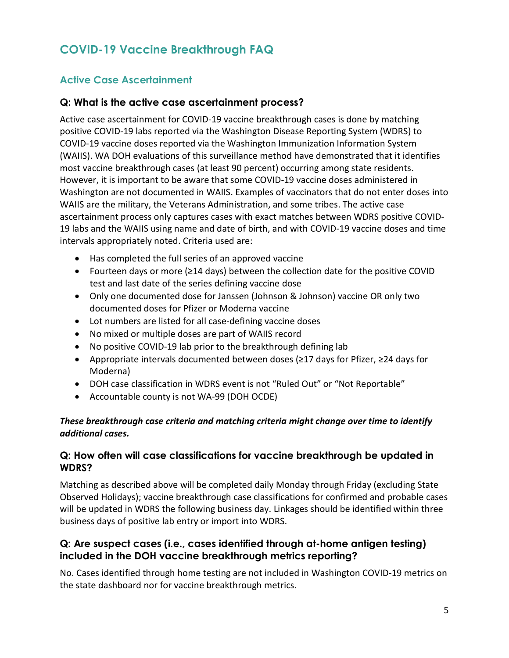# **COVID-19 Vaccine Breakthrough FAQ**

## **Active Case Ascertainment**

#### **Q: What is the active case ascertainment process?**

Active case ascertainment for COVID-19 vaccine breakthrough cases is done by matching positive COVID-19 labs reported via the Washington Disease Reporting System (WDRS) to COVID-19 vaccine doses reported via the Washington Immunization Information System (WAIIS). WA DOH evaluations of this surveillance method have demonstrated that it identifies most vaccine breakthrough cases (at least 90 percent) occurring among state residents. However, it is important to be aware that some COVID-19 vaccine doses administered in Washington are not documented in WAIIS. Examples of vaccinators that do not enter doses into WAIIS are the military, the Veterans Administration, and some tribes. The active case ascertainment process only captures cases with exact matches between WDRS positive COVID-19 labs and the WAIIS using name and date of birth, and with COVID-19 vaccine doses and time intervals appropriately noted. Criteria used are:

- Has completed the full series of an approved vaccine
- Fourteen days or more (≥14 days) between the collection date for the positive COVID test and last date of the series defining vaccine dose
- Only one documented dose for Janssen (Johnson & Johnson) vaccine OR only two documented doses for Pfizer or Moderna vaccine
- Lot numbers are listed for all case-defining vaccine doses
- No mixed or multiple doses are part of WAIIS record
- No positive COVID-19 lab prior to the breakthrough defining lab
- Appropriate intervals documented between doses (≥17 days for Pfizer, ≥24 days for Moderna)
- DOH case classification in WDRS event is not "Ruled Out" or "Not Reportable"
- Accountable county is not WA-99 (DOH OCDE)

#### *These breakthrough case criteria and matching criteria might change over time to identify additional cases.*

#### **Q: How often will case classifications for vaccine breakthrough be updated in WDRS?**

Matching as described above will be completed daily Monday through Friday (excluding State Observed Holidays); vaccine breakthrough case classifications for confirmed and probable cases will be updated in WDRS the following business day. Linkages should be identified within three business days of positive lab entry or import into WDRS.

#### **Q: Are suspect cases (i.e., cases identified through at-home antigen testing) included in the DOH vaccine breakthrough metrics reporting?**

No. Cases identified through home testing are not included in Washington COVID-19 metrics on the state dashboard nor for vaccine breakthrough metrics.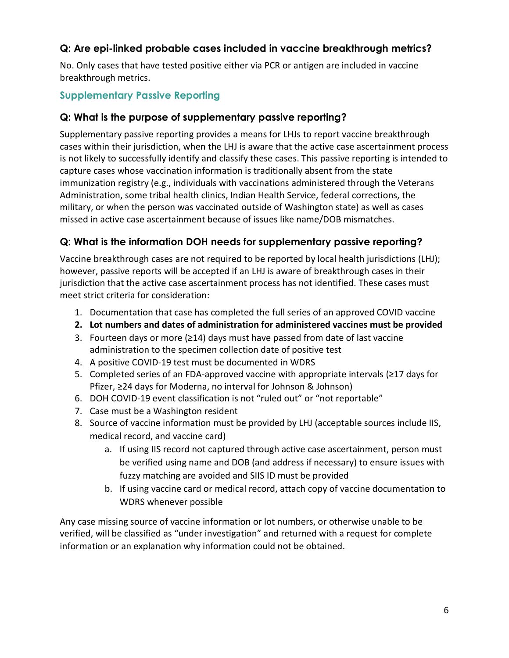## **Q: Are epi-linked probable cases included in vaccine breakthrough metrics?**

No. Only cases that have tested positive either via PCR or antigen are included in vaccine breakthrough metrics.

## **Supplementary Passive Reporting**

#### **Q: What is the purpose of supplementary passive reporting?**

Supplementary passive reporting provides a means for LHJs to report vaccine breakthrough cases within their jurisdiction, when the LHJ is aware that the active case ascertainment process is not likely to successfully identify and classify these cases. This passive reporting is intended to capture cases whose vaccination information is traditionally absent from the state immunization registry (e.g., individuals with vaccinations administered through the Veterans Administration, some tribal health clinics, Indian Health Service, federal corrections, the military, or when the person was vaccinated outside of Washington state) as well as cases missed in active case ascertainment because of issues like name/DOB mismatches.

## **Q: What is the information DOH needs for supplementary passive reporting?**

Vaccine breakthrough cases are not required to be reported by local health jurisdictions (LHJ); however, passive reports will be accepted if an LHJ is aware of breakthrough cases in their jurisdiction that the active case ascertainment process has not identified. These cases must meet strict criteria for consideration:

- 1. Documentation that case has completed the full series of an approved COVID vaccine
- **2. Lot numbers and dates of administration for administered vaccines must be provided**
- 3. Fourteen days or more (≥14) days must have passed from date of last vaccine administration to the specimen collection date of positive test
- 4. A positive COVID-19 test must be documented in WDRS
- 5. Completed series of an FDA-approved vaccine with appropriate intervals (≥17 days for Pfizer, ≥24 days for Moderna, no interval for Johnson & Johnson)
- 6. DOH COVID-19 event classification is not "ruled out" or "not reportable"
- 7. Case must be a Washington resident
- 8. Source of vaccine information must be provided by LHJ (acceptable sources include IIS, medical record, and vaccine card)
	- a. If using IIS record not captured through active case ascertainment, person must be verified using name and DOB (and address if necessary) to ensure issues with fuzzy matching are avoided and SIIS ID must be provided
	- b. If using vaccine card or medical record, attach copy of vaccine documentation to WDRS whenever possible

Any case missing source of vaccine information or lot numbers, or otherwise unable to be verified, will be classified as "under investigation" and returned with a request for complete information or an explanation why information could not be obtained.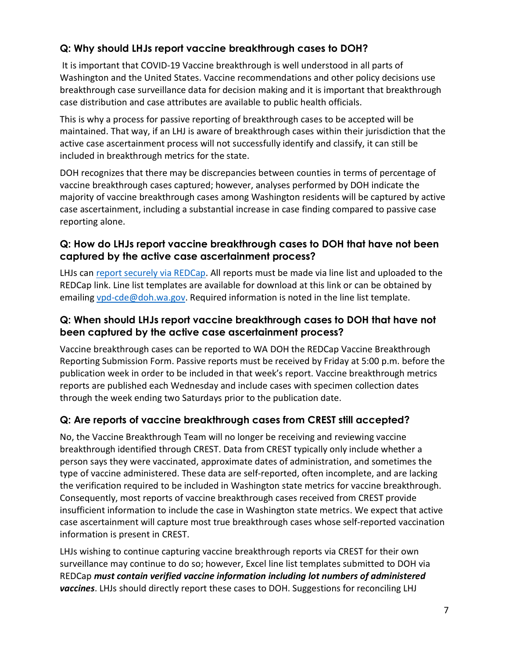## **Q: Why should LHJs report vaccine breakthrough cases to DOH?**

It is important that COVID-19 Vaccine breakthrough is well understood in all parts of Washington and the United States. Vaccine recommendations and other policy decisions use breakthrough case surveillance data for decision making and it is important that breakthrough case distribution and case attributes are available to public health officials.

This is why a process for passive reporting of breakthrough cases to be accepted will be maintained. That way, if an LHJ is aware of breakthrough cases within their jurisdiction that the active case ascertainment process will not successfully identify and classify, it can still be included in breakthrough metrics for the state.

DOH recognizes that there may be discrepancies between counties in terms of percentage of vaccine breakthrough cases captured; however, analyses performed by DOH indicate the majority of vaccine breakthrough cases among Washington residents will be captured by active case ascertainment, including a substantial increase in case finding compared to passive case reporting alone.

#### **Q: How do LHJs report vaccine breakthrough cases to DOH that have not been captured by the active case ascertainment process?**

LHJs can [report securely via REDCap.](https://redcap.doh.wa.gov/surveys/?s=J4WAFRPMNE) All reports must be made via line list and uploaded to the REDCap link. Line list templates are available for download at this link or can be obtained by emailing [vpd-cde@doh.wa.gov.](mailto:vpd-cde@doh.wa.gov) Required information is noted in the line list template.

#### **Q: When should LHJs report vaccine breakthrough cases to DOH that have not been captured by the active case ascertainment process?**

Vaccine breakthrough cases can be reported to WA DOH the REDCap Vaccine Breakthrough Reporting Submission Form. Passive reports must be received by Friday at 5:00 p.m. before the publication week in order to be included in that week's report. Vaccine breakthrough metrics reports are published each Wednesday and include cases with specimen collection dates through the week ending two Saturdays prior to the publication date.

## **Q: Are reports of vaccine breakthrough cases from CREST still accepted?**

No, the Vaccine Breakthrough Team will no longer be receiving and reviewing vaccine breakthrough identified through CREST. Data from CREST typically only include whether a person says they were vaccinated, approximate dates of administration, and sometimes the type of vaccine administered. These data are self-reported, often incomplete, and are lacking the verification required to be included in Washington state metrics for vaccine breakthrough. Consequently, most reports of vaccine breakthrough cases received from CREST provide insufficient information to include the case in Washington state metrics. We expect that active case ascertainment will capture most true breakthrough cases whose self-reported vaccination information is present in CREST.

LHJs wishing to continue capturing vaccine breakthrough reports via CREST for their own surveillance may continue to do so; however, Excel line list templates submitted to DOH via REDCap *must contain verified vaccine information including lot numbers of administered vaccines*. LHJs should directly report these cases to DOH. Suggestions for reconciling LHJ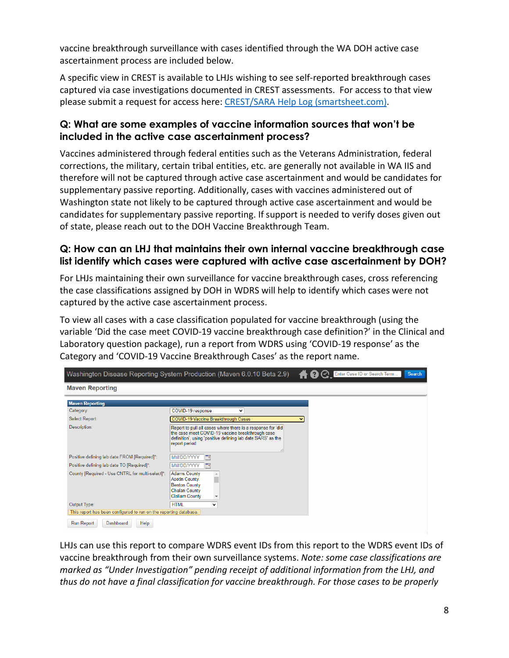vaccine breakthrough surveillance with cases identified through the WA DOH active case ascertainment process are included below.

A specific view in CREST is available to LHJs wishing to see self-reported breakthrough cases captured via case investigations documented in CREST assessments. For access to that view please submit a request for access here: [CREST/SARA Help Log \(smartsheet.com\).](https://app.smartsheet.com/b/form/8977dd5bf2f646f98a448d1d1fab181b)

#### **Q: What are some examples of vaccine information sources that won't be included in the active case ascertainment process?**

Vaccines administered through federal entities such as the Veterans Administration, federal corrections, the military, certain tribal entities, etc. are generally not available in WA IIS and therefore will not be captured through active case ascertainment and would be candidates for supplementary passive reporting. Additionally, cases with vaccines administered out of Washington state not likely to be captured through active case ascertainment and would be candidates for supplementary passive reporting. If support is needed to verify doses given out of state, please reach out to the DOH Vaccine Breakthrough Team.

#### **Q: How can an LHJ that maintains their own internal vaccine breakthrough case list identify which cases were captured with active case ascertainment by DOH?**

For LHJs maintaining their own surveillance for vaccine breakthrough cases, cross referencing the case classifications assigned by DOH in WDRS will help to identify which cases were not captured by the active case ascertainment process.

To view all cases with a case classification populated for vaccine breakthrough (using the variable 'Did the case meet COVID-19 vaccine breakthrough case definition?' in the Clinical and Laboratory question package), run a report from WDRS using 'COVID-19 response' as the Category and 'COVID-19 Vaccine Breakthrough Cases' as the report name.

| 1 ? C Enter Case ID or Search Term<br>Washington Disease Reporting System Production (Maven 6.0.10 Beta 2.9)<br><b>Search</b> |                                                                                                                                                                                                 |  |
|-------------------------------------------------------------------------------------------------------------------------------|-------------------------------------------------------------------------------------------------------------------------------------------------------------------------------------------------|--|
| <b>Maven Reporting</b>                                                                                                        |                                                                                                                                                                                                 |  |
| <b>Maven Reporting</b>                                                                                                        |                                                                                                                                                                                                 |  |
| Category:                                                                                                                     | COVID-19 response<br>◡                                                                                                                                                                          |  |
| Select Report:                                                                                                                | COVID-19 Vaccine Breakthrough Cases                                                                                                                                                             |  |
| Description:                                                                                                                  | Report to pull all cases where there is a response for 'did<br>the case meet COVID-19 vaccine breakthrough case<br>definition', using 'positive defining lab date SARS' as the<br>report period |  |
| Positive defining lab date FROM [Required]*:                                                                                  | MM/DD/YYYY<br>$\Box$                                                                                                                                                                            |  |
| Positive defining lab date TO [Required]*:                                                                                    | MM/DD/YYYY<br>Пe                                                                                                                                                                                |  |
| County [Required - Use CNTRL for multi-select]*:                                                                              | <b>Adams County</b><br><b>Asotin County</b><br><b>Benton County</b><br><b>Chelan County</b><br><b>Clallam County</b>                                                                            |  |
| Output Type:                                                                                                                  | <b>HTML</b><br>$\checkmark$                                                                                                                                                                     |  |
| This report has been configured to run on the reporting database.                                                             |                                                                                                                                                                                                 |  |
| <b>Dashboard</b><br>Help<br>Run Report                                                                                        |                                                                                                                                                                                                 |  |

LHJs can use this report to compare WDRS event IDs from this report to the WDRS event IDs of vaccine breakthrough from their own surveillance systems. *Note: some case classifications are marked as "Under Investigation" pending receipt of additional information from the LHJ, and thus do not have a final classification for vaccine breakthrough. For those cases to be properly*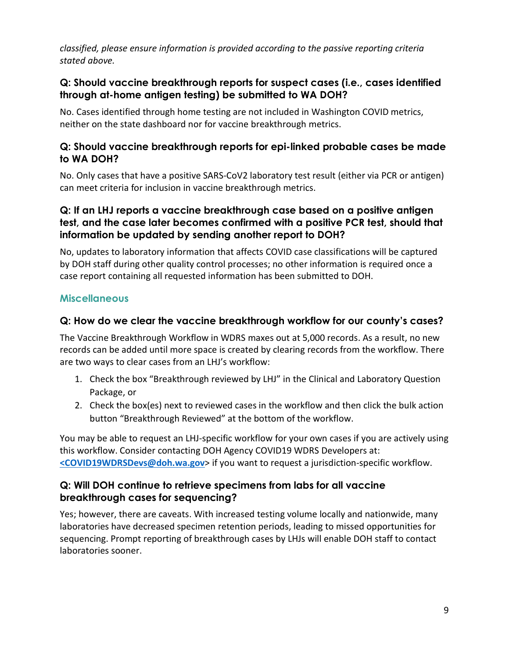*classified, please ensure information is provided according to the passive reporting criteria stated above.*

#### **Q: Should vaccine breakthrough reports for suspect cases (i.e., cases identified through at-home antigen testing) be submitted to WA DOH?**

No. Cases identified through home testing are not included in Washington COVID metrics, neither on the state dashboard nor for vaccine breakthrough metrics.

#### **Q: Should vaccine breakthrough reports for epi-linked probable cases be made to WA DOH?**

No. Only cases that have a positive SARS-CoV2 laboratory test result (either via PCR or antigen) can meet criteria for inclusion in vaccine breakthrough metrics.

#### **Q: If an LHJ reports a vaccine breakthrough case based on a positive antigen test, and the case later becomes confirmed with a positive PCR test, should that information be updated by sending another report to DOH?**

No, updates to laboratory information that affects COVID case classifications will be captured by DOH staff during other quality control processes; no other information is required once a case report containing all requested information has been submitted to DOH.

## **Miscellaneous**

#### **Q: How do we clear the vaccine breakthrough workflow for our county's cases?**

The Vaccine Breakthrough Workflow in WDRS maxes out at 5,000 records. As a result, no new records can be added until more space is created by clearing records from the workflow. There are two ways to clear cases from an LHJ's workflow:

- 1. Check the box "Breakthrough reviewed by LHJ" in the Clinical and Laboratory Question Package, or
- 2. Check the box(es) next to reviewed cases in the workflow and then click the bulk action button "Breakthrough Reviewed" at the bottom of the workflow.

You may be able to request an LHJ-specific workflow for your own cases if you are actively using this workflow. Consider contacting DOH Agency COVID19 WDRS Developers at: **[<COVID19WDRSDevs@doh.wa.gov](mailto:%3cCOVID19WDRSDevs@doh.wa.gov)**> if you want to request a jurisdiction-specific workflow.

#### **Q: Will DOH continue to retrieve specimens from labs for all vaccine breakthrough cases for sequencing?**

Yes; however, there are caveats. With increased testing volume locally and nationwide, many laboratories have decreased specimen retention periods, leading to missed opportunities for sequencing. Prompt reporting of breakthrough cases by LHJs will enable DOH staff to contact laboratories sooner.